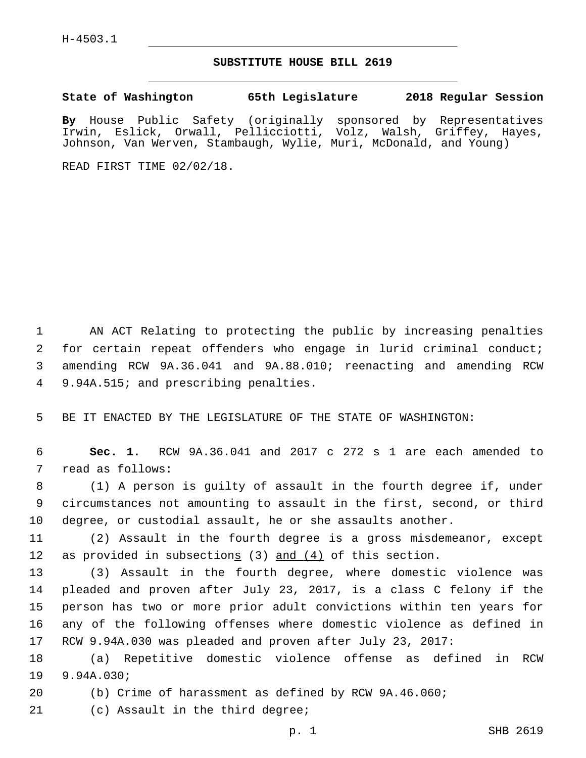## **SUBSTITUTE HOUSE BILL 2619**

**State of Washington 65th Legislature 2018 Regular Session**

**By** House Public Safety (originally sponsored by Representatives Irwin, Eslick, Orwall, Pellicciotti, Volz, Walsh, Griffey, Hayes, Johnson, Van Werven, Stambaugh, Wylie, Muri, McDonald, and Young)

READ FIRST TIME 02/02/18.

 AN ACT Relating to protecting the public by increasing penalties for certain repeat offenders who engage in lurid criminal conduct; amending RCW 9A.36.041 and 9A.88.010; reenacting and amending RCW 4 9.94A.515; and prescribing penalties.

5 BE IT ENACTED BY THE LEGISLATURE OF THE STATE OF WASHINGTON:

6 **Sec. 1.** RCW 9A.36.041 and 2017 c 272 s 1 are each amended to 7 read as follows:

8 (1) A person is guilty of assault in the fourth degree if, under 9 circumstances not amounting to assault in the first, second, or third 10 degree, or custodial assault, he or she assaults another.

11 (2) Assault in the fourth degree is a gross misdemeanor, except 12 as provided in subsections (3) and (4) of this section.

 (3) Assault in the fourth degree, where domestic violence was pleaded and proven after July 23, 2017, is a class C felony if the person has two or more prior adult convictions within ten years for any of the following offenses where domestic violence as defined in RCW 9.94A.030 was pleaded and proven after July 23, 2017:

18 (a) Repetitive domestic violence offense as defined in RCW 19 9.94A.030;

20 (b) Crime of harassment as defined by RCW 9A.46.060;

21 (c) Assault in the third degree;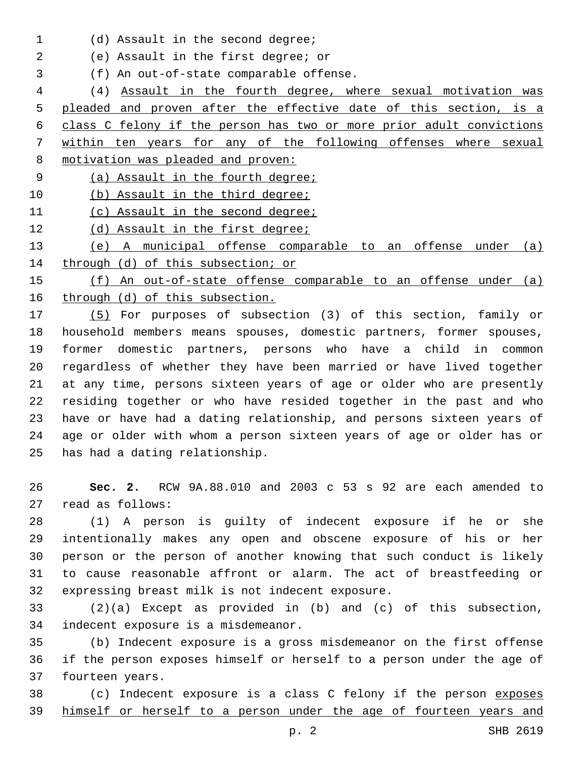1 (d) Assault in the second degree;

(e) Assault in the first degree; or2

(f) An out-of-state comparable offense.3

 (4) Assault in the fourth degree, where sexual motivation was pleaded and proven after the effective date of this section, is a class C felony if the person has two or more prior adult convictions within ten years for any of the following offenses where sexual motivation was pleaded and proven:

(a) Assault in the fourth degree;

10 (b) Assault in the third degree;

(c) Assault in the second degree;

12 (d) Assault in the first degree;

 (e) A municipal offense comparable to an offense under (a) 14 through (d) of this subsection; or

 (f) An out-of-state offense comparable to an offense under (a) through (d) of this subsection.

 (5) For purposes of subsection (3) of this section, family or household members means spouses, domestic partners, former spouses, former domestic partners, persons who have a child in common regardless of whether they have been married or have lived together at any time, persons sixteen years of age or older who are presently residing together or who have resided together in the past and who have or have had a dating relationship, and persons sixteen years of age or older with whom a person sixteen years of age or older has or 25 has had a dating relationship.

 **Sec. 2.** RCW 9A.88.010 and 2003 c 53 s 92 are each amended to 27 read as follows:

 (1) A person is guilty of indecent exposure if he or she intentionally makes any open and obscene exposure of his or her person or the person of another knowing that such conduct is likely to cause reasonable affront or alarm. The act of breastfeeding or 32 expressing breast milk is not indecent exposure.

 (2)(a) Except as provided in (b) and (c) of this subsection, 34 indecent exposure is a misdemeanor.

 (b) Indecent exposure is a gross misdemeanor on the first offense if the person exposes himself or herself to a person under the age of 37 fourteen years.

 (c) Indecent exposure is a class C felony if the person exposes himself or herself to a person under the age of fourteen years and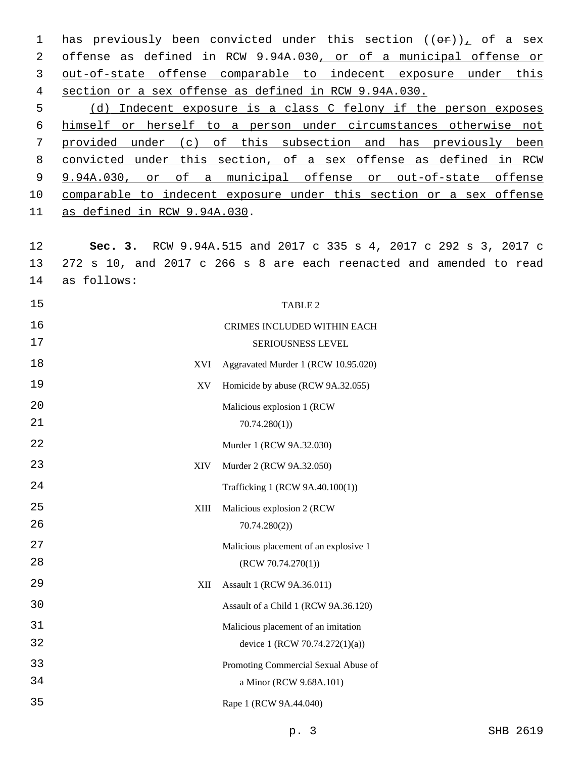1 has previously been convicted under this section  $((\theta \hat{r}))$  of a sex offense as defined in RCW 9.94A.030, or of a municipal offense or out-of-state offense comparable to indecent exposure under this section or a sex offense as defined in RCW 9.94A.030.

 (d) Indecent exposure is a class C felony if the person exposes himself or herself to a person under circumstances otherwise not provided under (c) of this subsection and has previously been convicted under this section, of a sex offense as defined in RCW 9.94A.030, or of a municipal offense or out-of-state offense comparable to indecent exposure under this section or a sex offense 11 as defined in RCW 9.94A.030.

 **Sec. 3.** RCW 9.94A.515 and 2017 c 335 s 4, 2017 c 292 s 3, 2017 c 272 s 10, and 2017 c 266 s 8 are each reenacted and amended to read 14 as follows:

| 15               | TABLE 2                               |
|------------------|---------------------------------------|
| 16               | CRIMES INCLUDED WITHIN EACH           |
| 17               | SERIOUSNESS LEVEL                     |
| 18<br><b>XVI</b> | Aggravated Murder 1 (RCW 10.95.020)   |
| 19<br>XV         | Homicide by abuse (RCW 9A.32.055)     |
| 20               | Malicious explosion 1 (RCW            |
| 21               | 70.74.280(1)                          |
| 22               | Murder 1 (RCW 9A.32.030)              |
| 23<br><b>XIV</b> | Murder 2 (RCW 9A.32.050)              |
| 24               | Trafficking 1 (RCW 9A.40.100(1))      |
| 25<br>XIII       | Malicious explosion 2 (RCW            |
| 26               | 70.74.280(2)                          |
| 27               | Malicious placement of an explosive 1 |
| 28               | (RCW 70.74.270(1))                    |
| 29<br>XII        | Assault 1 (RCW 9A.36.011)             |
| 30               | Assault of a Child 1 (RCW 9A.36.120)  |
| 31               | Malicious placement of an imitation   |
| 32               | device 1 (RCW 70.74.272(1)(a))        |
| 33               | Promoting Commercial Sexual Abuse of  |
| 34               | a Minor (RCW 9.68A.101)               |
| 35               | Rape 1 (RCW 9A.44.040)                |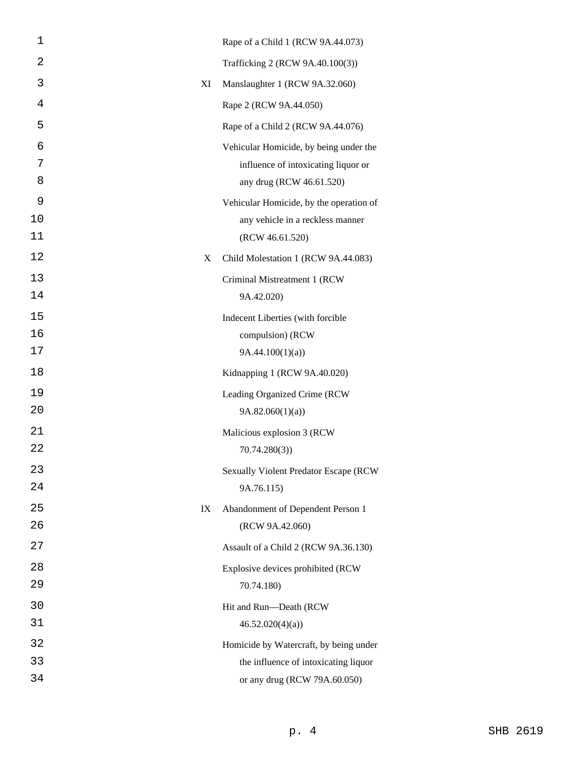| 1           |    | Rape of a Child 1 (RCW 9A.44.073)                                                                         |
|-------------|----|-----------------------------------------------------------------------------------------------------------|
| 2           |    | Trafficking 2 (RCW 9A.40.100(3))                                                                          |
| 3           | ΧI | Manslaughter 1 (RCW 9A.32.060)                                                                            |
| 4           |    | Rape 2 (RCW 9A.44.050)                                                                                    |
| 5           |    | Rape of a Child 2 (RCW 9A.44.076)                                                                         |
| 6<br>7<br>8 |    | Vehicular Homicide, by being under the<br>influence of intoxicating liquor or<br>any drug (RCW 46.61.520) |
| 9           |    | Vehicular Homicide, by the operation of                                                                   |
| 10<br>11    |    | any vehicle in a reckless manner<br>(RCW 46.61.520)                                                       |
| 12          | X  | Child Molestation 1 (RCW 9A.44.083)                                                                       |
| 13<br>14    |    | Criminal Mistreatment 1 (RCW<br>9A.42.020)                                                                |
| 15          |    | Indecent Liberties (with forcible                                                                         |
| 16          |    | compulsion) (RCW                                                                                          |
| 17          |    | 9A.44.100(1)(a)                                                                                           |
| 18          |    | Kidnapping 1 (RCW 9A.40.020)                                                                              |
| 19          |    | Leading Organized Crime (RCW                                                                              |
| 20          |    | 9A.82.060(1)(a)                                                                                           |
| 21          |    | Malicious explosion 3 (RCW                                                                                |
| 22          |    | 70.74.280(3)                                                                                              |
| 23          |    | <b>Sexually Violent Predator Escape (RCW</b>                                                              |
| 24          |    | 9A.76.115)                                                                                                |
| 25<br>26    | IX | Abandonment of Dependent Person 1                                                                         |
| 27          |    | (RCW 9A.42.060)                                                                                           |
|             |    | Assault of a Child 2 (RCW 9A.36.130)                                                                      |
| 28<br>29    |    | Explosive devices prohibited (RCW<br>70.74.180)                                                           |
| 30          |    | Hit and Run-Death (RCW                                                                                    |
| 31          |    | 46.52.020(4)(a)                                                                                           |
| 32          |    | Homicide by Watercraft, by being under                                                                    |
| 33          |    | the influence of intoxicating liquor                                                                      |
| 34          |    | or any drug (RCW 79A.60.050)                                                                              |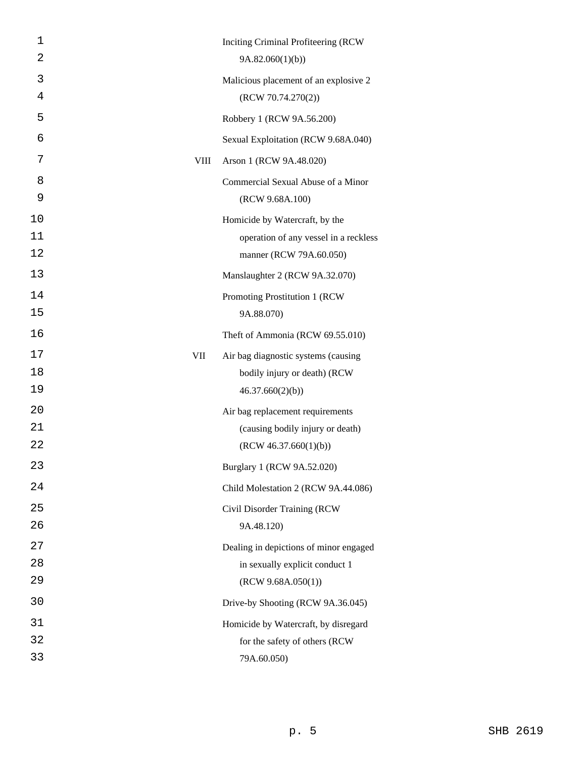| 1         |             | Inciting Criminal Profiteering (RCW)   |
|-----------|-------------|----------------------------------------|
| 2         |             | 9A.82.060(1)(b)                        |
| 3         |             | Malicious placement of an explosive 2  |
| 4         |             | (RCW 70.74.270(2))                     |
| 5         |             | Robbery 1 (RCW 9A.56.200)              |
| 6         |             | Sexual Exploitation (RCW 9.68A.040)    |
| 7         | <b>VIII</b> | Arson 1 (RCW 9A.48.020)                |
| 8         |             | Commercial Sexual Abuse of a Minor     |
| 9         |             | (RCW 9.68A.100)                        |
| 10        |             | Homicide by Watercraft, by the         |
| 11        |             | operation of any vessel in a reckless  |
| 12        |             | manner (RCW 79A.60.050)                |
| 13        |             | Manslaughter 2 (RCW 9A.32.070)         |
| 14        |             | Promoting Prostitution 1 (RCW          |
| 15        |             | 9A.88.070)                             |
| 16        |             | Theft of Ammonia (RCW 69.55.010)       |
| 17<br>VII |             | Air bag diagnostic systems (causing    |
| 18        |             | bodily injury or death) (RCW           |
| 19        |             | 46.37.660(2)(b)                        |
| 20        |             | Air bag replacement requirements       |
| 21        |             | (causing bodily injury or death)       |
| 22        |             | (RCW 46.37.660(1)(b))                  |
| 23        |             | Burglary 1 (RCW 9A.52.020)             |
| 24        |             | Child Molestation 2 (RCW 9A.44.086)    |
| 25        |             | Civil Disorder Training (RCW           |
| 26        |             | 9A.48.120)                             |
| 27        |             | Dealing in depictions of minor engaged |
| 28        |             | in sexually explicit conduct 1         |
| 29        |             | (RCW 9.68A.050(1))                     |
| 30        |             | Drive-by Shooting (RCW 9A.36.045)      |
| 31        |             | Homicide by Watercraft, by disregard   |
| 32        |             | for the safety of others (RCW          |
| 33        |             | 79A.60.050)                            |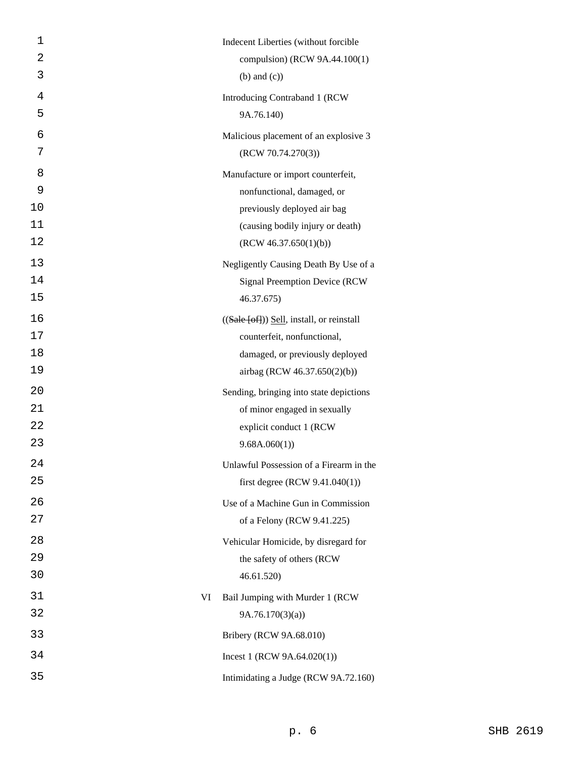| $\mathbf 1$ | Indecent Liberties (without forcible                   |
|-------------|--------------------------------------------------------|
| 2           | compulsion) (RCW 9A.44.100(1)                          |
| 3           | $(b)$ and $(c)$ )                                      |
| 4           | Introducing Contraband 1 (RCW                          |
| 5           | 9A.76.140)                                             |
| 6           | Malicious placement of an explosive 3                  |
| 7           | (RCW 70.74.270(3))                                     |
| 8           | Manufacture or import counterfeit,                     |
| 9           | nonfunctional, damaged, or                             |
| 10          | previously deployed air bag                            |
| 11          | (causing bodily injury or death)                       |
| 12          | (RCW 46.37.650(1)(b))                                  |
| 13          | Negligently Causing Death By Use of a                  |
| 14          | <b>Signal Preemption Device (RCW</b>                   |
| 15          | 46.37.675)                                             |
| 16          | $((\text{Sale}$ [of]) $)\$ Sell, install, or reinstall |
| 17          | counterfeit, nonfunctional,                            |
| 18          | damaged, or previously deployed                        |
| 19          | airbag (RCW 46.37.650(2)(b))                           |
| 20          | Sending, bringing into state depictions                |
| 21          | of minor engaged in sexually                           |
| 22          | explicit conduct 1 (RCW                                |
| 23          | 9.68A.060(1)                                           |
| 24          | Unlawful Possession of a Firearm in the                |
| 25          | first degree (RCW $9.41.040(1)$ )                      |
| 26          | Use of a Machine Gun in Commission                     |
| 27          | of a Felony (RCW 9.41.225)                             |
| 28          | Vehicular Homicide, by disregard for                   |
| 29          | the safety of others (RCW                              |
| 30          | 46.61.520                                              |
| 31<br>VI    | Bail Jumping with Murder 1 (RCW                        |
| 32          | 9A.76.170(3)(a)                                        |
| 33          | Bribery (RCW 9A.68.010)                                |
| 34          | Incest 1 (RCW $9A.64.020(1)$ )                         |
| 35          | Intimidating a Judge (RCW 9A.72.160)                   |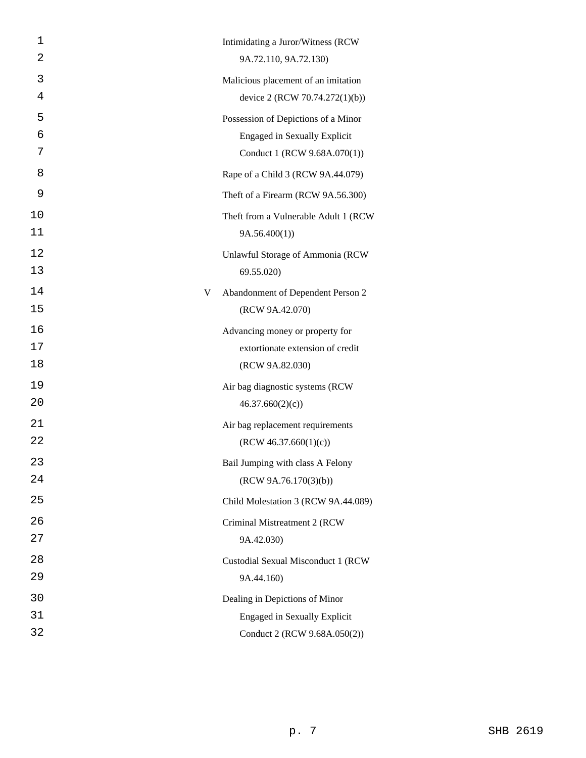| 1  |   | Intimidating a Juror/Witness (RCW    |
|----|---|--------------------------------------|
| 2  |   | 9A.72.110, 9A.72.130)                |
| 3  |   | Malicious placement of an imitation  |
| 4  |   | device 2 (RCW 70.74.272(1)(b))       |
| 5  |   | Possession of Depictions of a Minor  |
| 6  |   | <b>Engaged in Sexually Explicit</b>  |
| 7  |   | Conduct 1 (RCW 9.68A.070(1))         |
| 8  |   | Rape of a Child 3 (RCW 9A.44.079)    |
| 9  |   | Theft of a Firearm (RCW 9A.56.300)   |
| 10 |   | Theft from a Vulnerable Adult 1 (RCW |
| 11 |   | 9A.56.400(1)                         |
| 12 |   | Unlawful Storage of Ammonia (RCW     |
| 13 |   | 69.55.020)                           |
| 14 | V | Abandonment of Dependent Person 2    |
| 15 |   | (RCW 9A.42.070)                      |
| 16 |   | Advancing money or property for      |
| 17 |   | extortionate extension of credit     |
| 18 |   | (RCW 9A.82.030)                      |
| 19 |   | Air bag diagnostic systems (RCW      |
| 20 |   | 46.37.660(2)(c)                      |
| 21 |   | Air bag replacement requirements     |
| 22 |   | (RCW 46.37.660(1)(c))                |
| 23 |   | Bail Jumping with class A Felony     |
| 24 |   | (RCW 9A.76.170(3)(b))                |
| 25 |   | Child Molestation 3 (RCW 9A.44.089)  |
| 26 |   | Criminal Mistreatment 2 (RCW         |
| 27 |   | 9A.42.030)                           |
| 28 |   | Custodial Sexual Misconduct 1 (RCW   |
| 29 |   | 9A.44.160)                           |
| 30 |   | Dealing in Depictions of Minor       |
| 31 |   | <b>Engaged in Sexually Explicit</b>  |
| 32 |   | Conduct 2 (RCW 9.68A.050(2))         |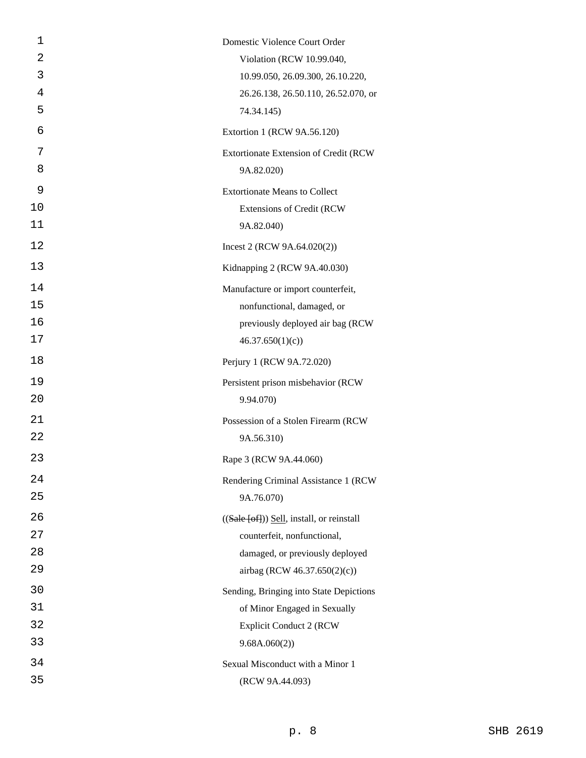| 1  | Domestic Violence Court Order                               |
|----|-------------------------------------------------------------|
| 2  | Violation (RCW 10.99.040,                                   |
| 3  | 10.99.050, 26.09.300, 26.10.220,                            |
| 4  | 26.26.138, 26.50.110, 26.52.070, or                         |
| 5  | 74.34.145)                                                  |
| 6  | Extortion 1 (RCW 9A.56.120)                                 |
| 7  | Extortionate Extension of Credit (RCW                       |
| 8  | 9A.82.020)                                                  |
| 9  | <b>Extortionate Means to Collect</b>                        |
| 10 | <b>Extensions of Credit (RCW</b>                            |
| 11 | 9A.82.040)                                                  |
| 12 | Incest 2 (RCW $9A.64.020(2)$ )                              |
| 13 | Kidnapping 2 (RCW 9A.40.030)                                |
| 14 | Manufacture or import counterfeit,                          |
| 15 | nonfunctional, damaged, or                                  |
| 16 | previously deployed air bag (RCW                            |
| 17 | 46.37.650(1)(c)                                             |
| 18 | Perjury 1 (RCW 9A.72.020)                                   |
| 19 | Persistent prison misbehavior (RCW                          |
| 20 | 9.94.070)                                                   |
| 21 | Possession of a Stolen Firearm (RCW                         |
| 22 | 9A.56.310)                                                  |
| 23 | Rape 3 (RCW 9A.44.060)                                      |
| 24 | Rendering Criminal Assistance 1 (RCW                        |
| 25 | 9A.76.070)                                                  |
| 26 | $((\text{Safe } [\text{off}]))$ Sell, install, or reinstall |
| 27 | counterfeit, nonfunctional,                                 |
| 28 | damaged, or previously deployed                             |
| 29 | airbag (RCW 46.37.650(2)(c))                                |
| 30 | Sending, Bringing into State Depictions                     |
| 31 | of Minor Engaged in Sexually                                |
| 32 | <b>Explicit Conduct 2 (RCW</b>                              |
| 33 | 9.68A.060(2))                                               |
| 34 | Sexual Misconduct with a Minor 1                            |
| 35 | (RCW 9A.44.093)                                             |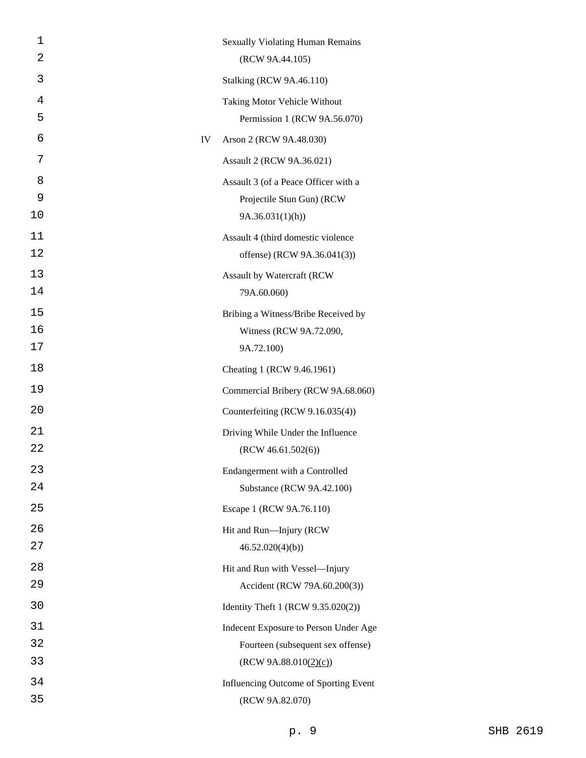| 1  |    | <b>Sexually Violating Human Remains</b> |
|----|----|-----------------------------------------|
| 2  |    | (RCW 9A.44.105)                         |
| 3  |    | <b>Stalking (RCW 9A.46.110)</b>         |
| 4  |    | Taking Motor Vehicle Without            |
| 5  |    | Permission 1 (RCW 9A.56.070)            |
| 6  | IV | Arson 2 (RCW 9A.48.030)                 |
| 7  |    | Assault 2 (RCW 9A.36.021)               |
| 8  |    | Assault 3 (of a Peace Officer with a    |
| 9  |    | Projectile Stun Gun) (RCW               |
| 10 |    | 9A.36.031(1)(h)                         |
| 11 |    | Assault 4 (third domestic violence      |
| 12 |    | offense) (RCW 9A.36.041(3))             |
| 13 |    | Assault by Watercraft (RCW              |
| 14 |    | 79A.60.060)                             |
| 15 |    | Bribing a Witness/Bribe Received by     |
| 16 |    | Witness (RCW 9A.72.090,                 |
| 17 |    | 9A.72.100)                              |
| 18 |    | Cheating 1 (RCW 9.46.1961)              |
| 19 |    | Commercial Bribery (RCW 9A.68.060)      |
| 20 |    | Counterfeiting (RCW 9.16.035(4))        |
| 21 |    | Driving While Under the Influence       |
| 22 |    | (RCW 46.61.502(6))                      |
| 23 |    | Endangerment with a Controlled          |
| 24 |    | Substance (RCW 9A.42.100)               |
| 25 |    | Escape 1 (RCW 9A.76.110)                |
| 26 |    | Hit and Run-Injury (RCW                 |
| 27 |    | 46.52.020(4)(b)                         |
| 28 |    | Hit and Run with Vessel-Injury          |
| 29 |    | Accident (RCW 79A.60.200(3))            |
| 30 |    | Identity Theft 1 (RCW 9.35.020(2))      |
| 31 |    | Indecent Exposure to Person Under Age   |
| 32 |    | Fourteen (subsequent sex offense)       |
| 33 |    | (RCW 9A.88.010(2)(c))                   |
| 34 |    | Influencing Outcome of Sporting Event   |
| 35 |    | (RCW 9A.82.070)                         |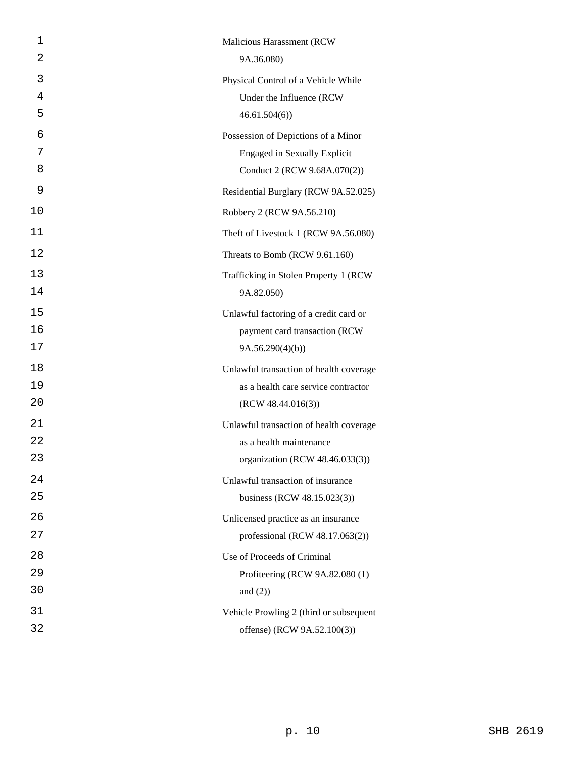| 1  | Malicious Harassment (RCW               |
|----|-----------------------------------------|
| 2  | 9A.36.080)                              |
| 3  | Physical Control of a Vehicle While     |
| 4  | Under the Influence (RCW                |
| 5  | 46.61.504(6)                            |
| 6  | Possession of Depictions of a Minor     |
| 7  | <b>Engaged in Sexually Explicit</b>     |
| 8  | Conduct 2 (RCW 9.68A.070(2))            |
| 9  | Residential Burglary (RCW 9A.52.025)    |
| 10 | Robbery 2 (RCW 9A.56.210)               |
| 11 | Theft of Livestock 1 (RCW 9A.56.080)    |
| 12 | Threats to Bomb (RCW 9.61.160)          |
| 13 | Trafficking in Stolen Property 1 (RCW)  |
| 14 | 9A.82.050)                              |
| 15 | Unlawful factoring of a credit card or  |
| 16 | payment card transaction (RCW           |
| 17 | 9A.56.290(4)(b)                         |
| 18 | Unlawful transaction of health coverage |
| 19 | as a health care service contractor     |
| 20 | (RCW 48.44.016(3))                      |
| 21 | Unlawful transaction of health coverage |
| 22 | as a health maintenance                 |
| 23 | organization (RCW 48.46.033(3))         |
| 24 | Unlawful transaction of insurance       |
| 25 | business (RCW 48.15.023(3))             |
| 26 | Unlicensed practice as an insurance     |
| 27 | professional (RCW 48.17.063(2))         |
| 28 | Use of Proceeds of Criminal             |
| 29 | Profiteering (RCW 9A.82.080 (1)         |
| 30 | and $(2)$ )                             |
| 31 | Vehicle Prowling 2 (third or subsequent |
| 32 | offense) (RCW 9A.52.100(3))             |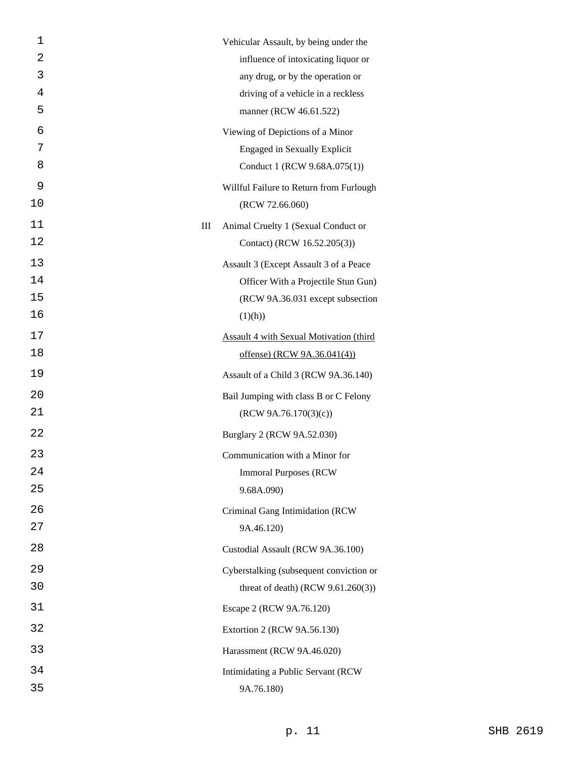| 1  |   | Vehicular Assault, by being under the          |
|----|---|------------------------------------------------|
| 2  |   | influence of intoxicating liquor or            |
| 3  |   | any drug, or by the operation or               |
| 4  |   | driving of a vehicle in a reckless             |
| 5  |   | manner (RCW 46.61.522)                         |
| 6  |   | Viewing of Depictions of a Minor               |
| 7  |   | <b>Engaged in Sexually Explicit</b>            |
| 8  |   | Conduct 1 (RCW 9.68A.075(1))                   |
| 9  |   | Willful Failure to Return from Furlough        |
| 10 |   | (RCW 72.66.060)                                |
| 11 | Ш | Animal Cruelty 1 (Sexual Conduct or            |
| 12 |   | Contact) (RCW 16.52.205(3))                    |
| 13 |   | Assault 3 (Except Assault 3 of a Peace         |
| 14 |   | Officer With a Projectile Stun Gun)            |
| 15 |   | (RCW 9A.36.031 except subsection               |
| 16 |   | (1)(h))                                        |
| 17 |   | <b>Assault 4 with Sexual Motivation (third</b> |
| 18 |   | offense) (RCW 9A.36.041(4))                    |
| 19 |   | Assault of a Child 3 (RCW 9A.36.140)           |
| 20 |   | Bail Jumping with class B or C Felony          |
| 21 |   | (RCW 9A.76.170(3)(c))                          |
| 22 |   | Burglary 2 (RCW 9A.52.030)                     |
| 23 |   | Communication with a Minor for                 |
| 24 |   | <b>Immoral Purposes (RCW)</b>                  |
| 25 |   | 9.68A.090)                                     |
| 26 |   | Criminal Gang Intimidation (RCW                |
| 27 |   | 9A.46.120)                                     |
| 28 |   | Custodial Assault (RCW 9A.36.100)              |
| 29 |   | Cyberstalking (subsequent conviction or        |
| 30 |   | threat of death) (RCW $9.61.260(3)$ )          |
| 31 |   | Escape 2 (RCW 9A.76.120)                       |
| 32 |   | Extortion 2 (RCW 9A.56.130)                    |
| 33 |   | Harassment (RCW 9A.46.020)                     |
| 34 |   | Intimidating a Public Servant (RCW             |
| 35 |   | 9A.76.180)                                     |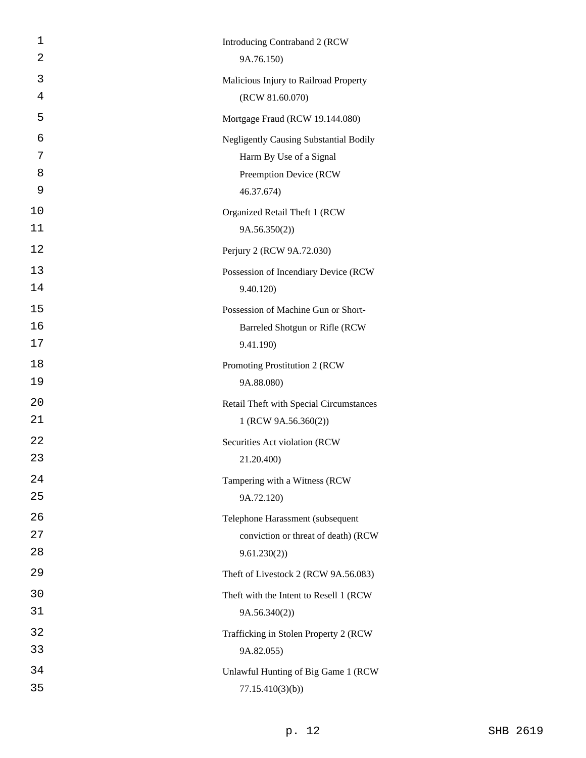| 1  | Introducing Contraband 2 (RCW                 |
|----|-----------------------------------------------|
| 2  | 9A.76.150)                                    |
| 3  | Malicious Injury to Railroad Property         |
| 4  | (RCW 81.60.070)                               |
| 5  | Mortgage Fraud (RCW 19.144.080)               |
| 6  | <b>Negligently Causing Substantial Bodily</b> |
| 7  | Harm By Use of a Signal                       |
| 8  | Preemption Device (RCW                        |
| 9  | 46.37.674)                                    |
| 10 | Organized Retail Theft 1 (RCW                 |
| 11 | 9A.56.350(2)                                  |
| 12 | Perjury 2 (RCW 9A.72.030)                     |
| 13 | Possession of Incendiary Device (RCW          |
| 14 | 9.40.120)                                     |
| 15 | Possession of Machine Gun or Short-           |
| 16 | Barreled Shotgun or Rifle (RCW                |
| 17 | 9.41.190)                                     |
| 18 | Promoting Prostitution 2 (RCW                 |
| 19 | 9A.88.080)                                    |
| 20 | Retail Theft with Special Circumstances       |
| 21 | 1 (RCW 9A.56.360(2))                          |
| 22 | Securities Act violation (RCW                 |
| 23 | 21.20.400)                                    |
| 24 | Tampering with a Witness (RCW                 |
| 25 | 9A.72.120)                                    |
| 26 | Telephone Harassment (subsequent              |
| 27 | conviction or threat of death) (RCW           |
| 28 | 9.61.230(2)                                   |
| 29 | Theft of Livestock 2 (RCW 9A.56.083)          |
| 30 | Theft with the Intent to Resell 1 (RCW        |
| 31 | 9A.56.340(2)                                  |
| 32 | Trafficking in Stolen Property 2 (RCW         |
| 33 | 9A.82.055)                                    |
| 34 | Unlawful Hunting of Big Game 1 (RCW           |
| 35 | 77.15.410(3)(b)                               |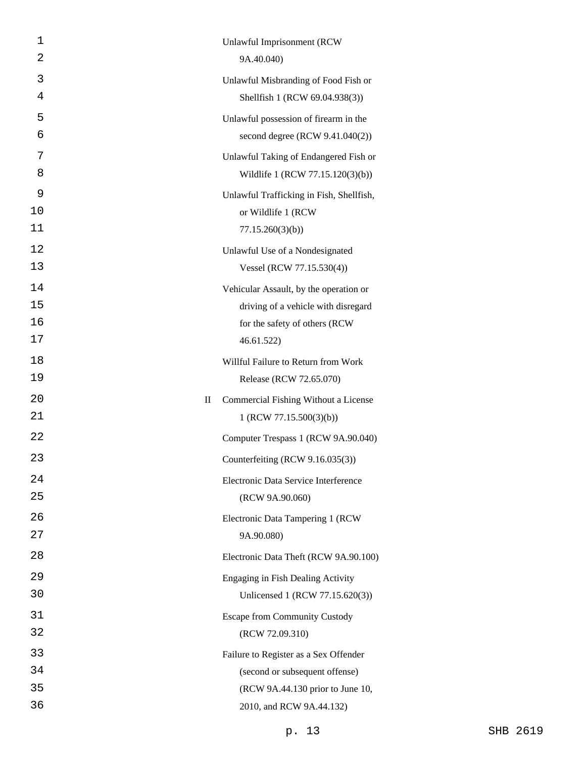| 1<br>2 | Unlawful Imprisonment (RCW<br>9A.40.040)                                  |
|--------|---------------------------------------------------------------------------|
|        |                                                                           |
| 3<br>4 | Unlawful Misbranding of Food Fish or<br>Shellfish 1 (RCW 69.04.938(3))    |
| 5      |                                                                           |
| 6      | Unlawful possession of firearm in the<br>second degree (RCW 9.41.040(2))  |
| 7      |                                                                           |
| 8      | Unlawful Taking of Endangered Fish or<br>Wildlife 1 (RCW 77.15.120(3)(b)) |
| 9      | Unlawful Trafficking in Fish, Shellfish,                                  |
| 10     | or Wildlife 1 (RCW                                                        |
| 11     | 77.15.260(3)(b)                                                           |
| 12     | Unlawful Use of a Nondesignated                                           |
| 13     | Vessel (RCW 77.15.530(4))                                                 |
| 14     | Vehicular Assault, by the operation or                                    |
| 15     | driving of a vehicle with disregard                                       |
| 16     | for the safety of others (RCW                                             |
| 17     | 46.61.522)                                                                |
| 18     | Willful Failure to Return from Work                                       |
| 19     | Release (RCW 72.65.070)                                                   |
| 20     | Commercial Fishing Without a License<br>$\mathop{\mathrm{II}}\nolimits$   |
| 21     | 1 (RCW 77.15.500(3)(b))                                                   |
| 22     | Computer Trespass 1 (RCW 9A.90.040)                                       |
| 23     | Counterfeiting (RCW 9.16.035(3))                                          |
| 24     | Electronic Data Service Interference                                      |
| 25     | (RCW 9A.90.060)                                                           |
| 26     | Electronic Data Tampering 1 (RCW                                          |
| 27     | 9A.90.080)                                                                |
| 28     | Electronic Data Theft (RCW 9A.90.100)                                     |
| 29     | Engaging in Fish Dealing Activity                                         |
| 30     | Unlicensed 1 (RCW 77.15.620(3))                                           |
| 31     | <b>Escape from Community Custody</b>                                      |
| 32     | (RCW 72.09.310)                                                           |
| 33     | Failure to Register as a Sex Offender                                     |
| 34     | (second or subsequent offense)                                            |
| 35     | (RCW 9A.44.130 prior to June 10,                                          |
| 36     | 2010, and RCW 9A.44.132)                                                  |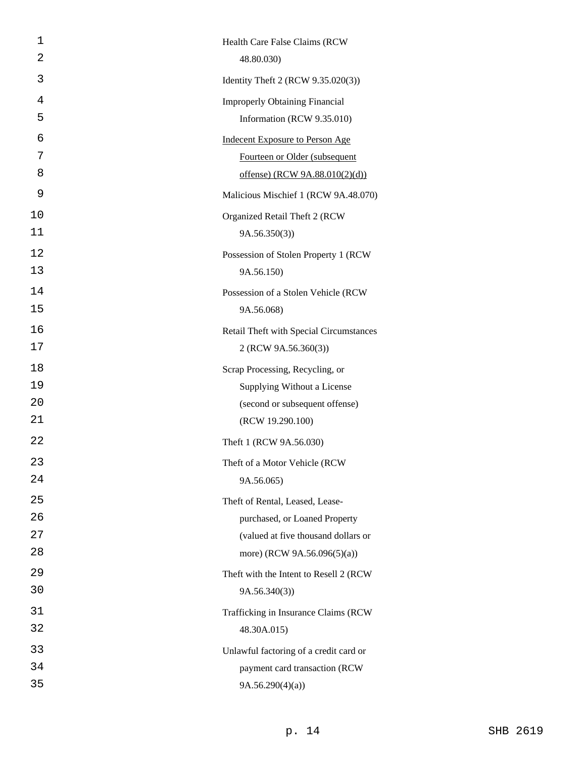| 1  | Health Care False Claims (RCW           |
|----|-----------------------------------------|
| 2  | 48.80.030)                              |
| 3  | Identity Theft 2 (RCW 9.35.020(3))      |
| 4  | <b>Improperly Obtaining Financial</b>   |
| 5  | Information (RCW 9.35.010)              |
| 6  | <b>Indecent Exposure to Person Age</b>  |
| 7  | Fourteen or Older (subsequent           |
| 8  | offense) (RCW 9A.88.010(2)(d))          |
| 9  | Malicious Mischief 1 (RCW 9A.48.070)    |
| 10 | Organized Retail Theft 2 (RCW           |
| 11 | 9A.56.350(3)                            |
| 12 | Possession of Stolen Property 1 (RCW    |
| 13 | 9A.56.150)                              |
| 14 | Possession of a Stolen Vehicle (RCW     |
| 15 | 9A.56.068)                              |
| 16 | Retail Theft with Special Circumstances |
| 17 | 2 (RCW 9A.56.360(3))                    |
| 18 | Scrap Processing, Recycling, or         |
| 19 | Supplying Without a License             |
| 20 | (second or subsequent offense)          |
| 21 | (RCW 19.290.100)                        |
| 22 | Theft 1 (RCW 9A.56.030)                 |
| 23 | Theft of a Motor Vehicle (RCW           |
| 24 | 9A.56.065)                              |
| 25 | Theft of Rental, Leased, Lease-         |
| 26 | purchased, or Loaned Property           |
| 27 | (valued at five thousand dollars or     |
| 28 | more) (RCW 9A.56.096(5)(a))             |
| 29 | Theft with the Intent to Resell 2 (RCW  |
| 30 | 9A.56.340(3)                            |
| 31 | Trafficking in Insurance Claims (RCW    |
| 32 | 48.30A.015)                             |
| 33 | Unlawful factoring of a credit card or  |
| 34 | payment card transaction (RCW           |
| 35 | 9A.56.290(4)(a)                         |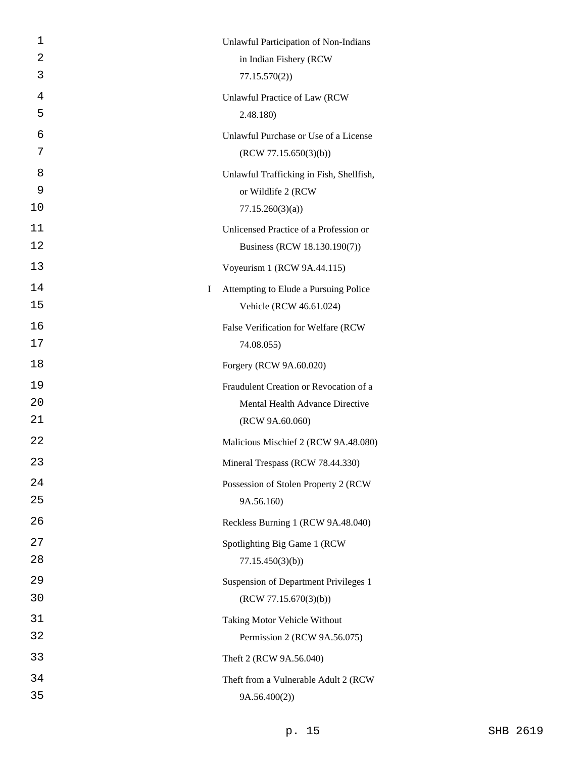| 1             | Unlawful Participation of Non-Indians                            |
|---------------|------------------------------------------------------------------|
| 2             | in Indian Fishery (RCW                                           |
| 3             | 77.15.570(2)                                                     |
| 4             | Unlawful Practice of Law (RCW                                    |
| 5             | 2.48.180)                                                        |
| 6             | Unlawful Purchase or Use of a License                            |
| 7             | (RCW 77.15.650(3)(b))                                            |
| 8             | Unlawful Trafficking in Fish, Shellfish,                         |
| 9             | or Wildlife 2 (RCW                                               |
| 10            | 77.15.260(3)(a)                                                  |
| 11            | Unlicensed Practice of a Profession or                           |
| 12            | Business (RCW 18.130.190(7))                                     |
| 13            | Voyeurism 1 (RCW 9A.44.115)                                      |
| 14<br>I<br>15 | Attempting to Elude a Pursuing Police<br>Vehicle (RCW 46.61.024) |
| 16            | False Verification for Welfare (RCW                              |
| 17            | 74.08.055)                                                       |
| 18            | Forgery (RCW 9A.60.020)                                          |
| 19            | Fraudulent Creation or Revocation of a                           |
| 20            | Mental Health Advance Directive                                  |
| 21            | (RCW 9A.60.060)                                                  |
| 22            | Malicious Mischief 2 (RCW 9A.48.080)                             |
| 23            | Mineral Trespass (RCW 78.44.330)                                 |
| 24            | Possession of Stolen Property 2 (RCW                             |
| 25            | 9A.56.160)                                                       |
| 26            | Reckless Burning 1 (RCW 9A.48.040)                               |
| 27            | Spotlighting Big Game 1 (RCW                                     |
| 28            | 77.15.450(3)(b)                                                  |
| 29            | Suspension of Department Privileges 1                            |
| 30            | (RCW 77.15.670(3)(b))                                            |
| 31            | Taking Motor Vehicle Without                                     |
| 32            | Permission 2 (RCW 9A.56.075)                                     |
| 33            | Theft 2 (RCW 9A.56.040)                                          |
| 34            | Theft from a Vulnerable Adult 2 (RCW                             |
| 35            | 9A.56.400(2))                                                    |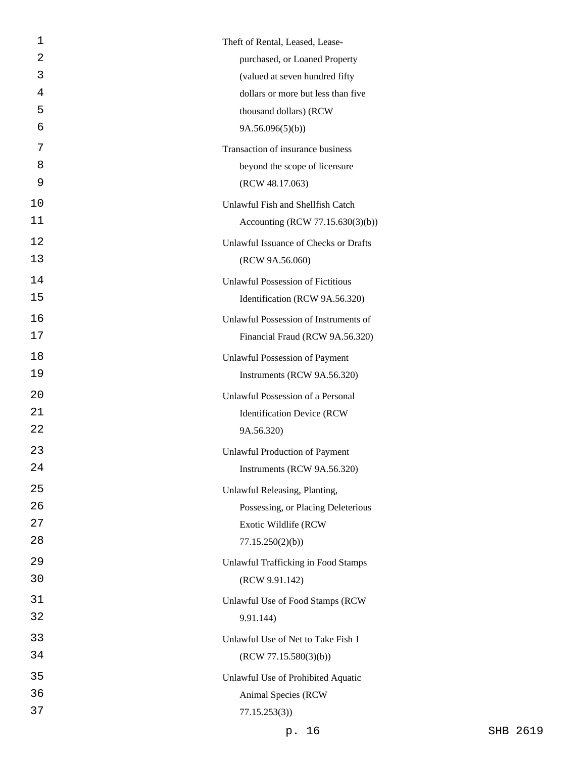| 1  | Theft of Rental, Leased, Lease-            |
|----|--------------------------------------------|
| 2  | purchased, or Loaned Property              |
| 3  | (valued at seven hundred fifty             |
| 4  | dollars or more but less than five         |
| 5  | thousand dollars) (RCW                     |
| 6  | 9A.56.096(5)(b)                            |
| 7  | Transaction of insurance business          |
| 8  | beyond the scope of licensure              |
| 9  | (RCW 48.17.063)                            |
| 10 | Unlawful Fish and Shellfish Catch          |
| 11 | Accounting (RCW 77.15.630(3)(b))           |
| 12 | Unlawful Issuance of Checks or Drafts      |
| 13 | (RCW 9A.56.060)                            |
| 14 | <b>Unlawful Possession of Fictitious</b>   |
| 15 | Identification (RCW 9A.56.320)             |
| 16 | Unlawful Possession of Instruments of      |
| 17 | Financial Fraud (RCW 9A.56.320)            |
| 18 | <b>Unlawful Possession of Payment</b>      |
| 19 | Instruments (RCW 9A.56.320)                |
| 20 | Unlawful Possession of a Personal          |
| 21 | <b>Identification Device (RCW)</b>         |
| 22 | 9A.56.320)                                 |
| 23 | <b>Unlawful Production of Payment</b>      |
| 24 | Instruments (RCW 9A.56.320)                |
| 25 | Unlawful Releasing, Planting,              |
| 26 | Possessing, or Placing Deleterious         |
| 27 | Exotic Wildlife (RCW                       |
| 28 | 77.15.250(2)(b)                            |
| 29 | <b>Unlawful Trafficking in Food Stamps</b> |
| 30 | (RCW 9.91.142)                             |
| 31 | Unlawful Use of Food Stamps (RCW           |
| 32 | 9.91.144)                                  |
| 33 | Unlawful Use of Net to Take Fish 1         |
| 34 | (RCW 77.15.580(3)(b))                      |
| 35 | Unlawful Use of Prohibited Aquatic         |
| 36 | Animal Species (RCW                        |
| 37 | 77.15.253(3)                               |